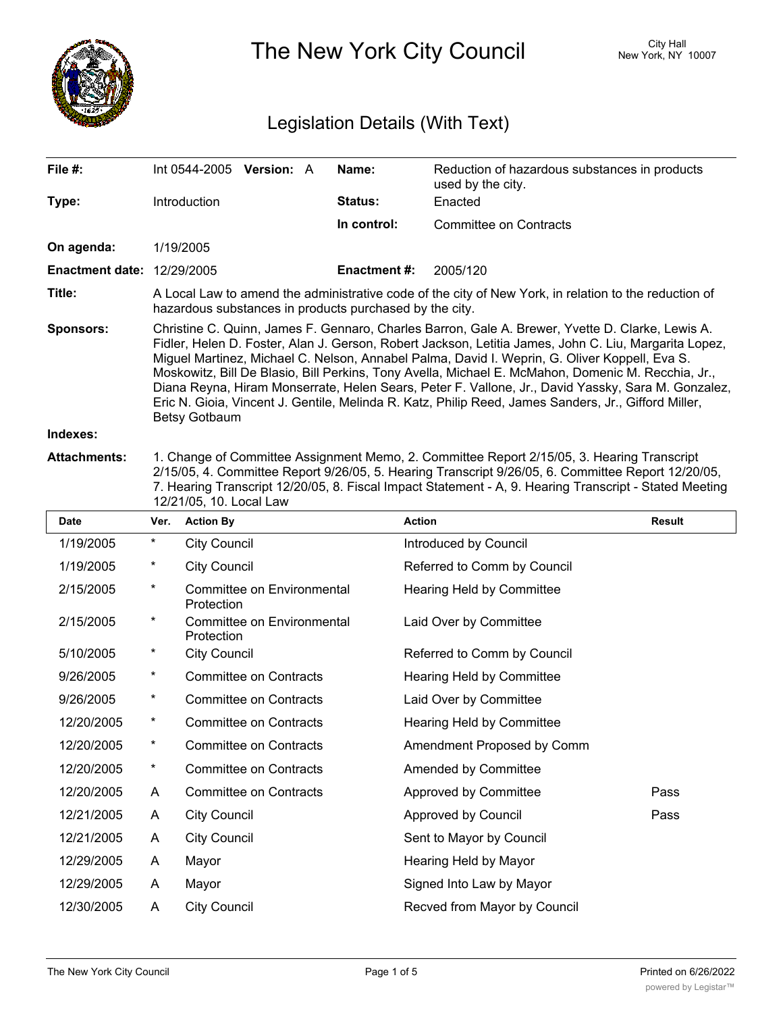

The New York City Council New York, NY 10007

# Legislation Details (With Text)

| File #:                           | Int 0544-2005                                                                                                                                                                                                                                                                                                                                                                                                                                                                                                                                                                                                                                          | <b>Version: A</b> |  | Name:               | Reduction of hazardous substances in products<br>used by the city. |  |  |
|-----------------------------------|--------------------------------------------------------------------------------------------------------------------------------------------------------------------------------------------------------------------------------------------------------------------------------------------------------------------------------------------------------------------------------------------------------------------------------------------------------------------------------------------------------------------------------------------------------------------------------------------------------------------------------------------------------|-------------------|--|---------------------|--------------------------------------------------------------------|--|--|
| Type:                             | Introduction                                                                                                                                                                                                                                                                                                                                                                                                                                                                                                                                                                                                                                           |                   |  | <b>Status:</b>      | Enacted                                                            |  |  |
|                                   |                                                                                                                                                                                                                                                                                                                                                                                                                                                                                                                                                                                                                                                        |                   |  | In control:         | Committee on Contracts                                             |  |  |
| On agenda:                        | 1/19/2005                                                                                                                                                                                                                                                                                                                                                                                                                                                                                                                                                                                                                                              |                   |  |                     |                                                                    |  |  |
| <b>Enactment date: 12/29/2005</b> |                                                                                                                                                                                                                                                                                                                                                                                                                                                                                                                                                                                                                                                        |                   |  | <b>Enactment #:</b> | 2005/120                                                           |  |  |
| Title:                            | A Local Law to amend the administrative code of the city of New York, in relation to the reduction of<br>hazardous substances in products purchased by the city.                                                                                                                                                                                                                                                                                                                                                                                                                                                                                       |                   |  |                     |                                                                    |  |  |
| Sponsors:                         | Christine C. Quinn, James F. Gennaro, Charles Barron, Gale A. Brewer, Yvette D. Clarke, Lewis A.<br>Fidler, Helen D. Foster, Alan J. Gerson, Robert Jackson, Letitia James, John C. Liu, Margarita Lopez,<br>Miguel Martinez, Michael C. Nelson, Annabel Palma, David I. Weprin, G. Oliver Koppell, Eva S.<br>Moskowitz, Bill De Blasio, Bill Perkins, Tony Avella, Michael E. McMahon, Domenic M. Recchia, Jr.,<br>Diana Reyna, Hiram Monserrate, Helen Sears, Peter F. Vallone, Jr., David Yassky, Sara M. Gonzalez,<br>Eric N. Gioia, Vincent J. Gentile, Melinda R. Katz, Philip Reed, James Sanders, Jr., Gifford Miller,<br><b>Betsy Gotbaum</b> |                   |  |                     |                                                                    |  |  |
|                                   |                                                                                                                                                                                                                                                                                                                                                                                                                                                                                                                                                                                                                                                        |                   |  |                     |                                                                    |  |  |

#### **Indexes:**

**Attachments:** 1. Change of Committee Assignment Memo, 2. Committee Report 2/15/05, 3. Hearing Transcript 2/15/05, 4. Committee Report 9/26/05, 5. Hearing Transcript 9/26/05, 6. Committee Report 12/20/05, 7. Hearing Transcript 12/20/05, 8. Fiscal Impact Statement - A, 9. Hearing Transcript - Stated Meeting 12/21/05, 10. Local Law

| <b>Date</b> | Ver.     | <b>Action By</b>                         | <b>Action</b>                | <b>Result</b> |
|-------------|----------|------------------------------------------|------------------------------|---------------|
| 1/19/2005   | $\ast$   | <b>City Council</b>                      | Introduced by Council        |               |
| 1/19/2005   | $^\star$ | <b>City Council</b>                      | Referred to Comm by Council  |               |
| 2/15/2005   | $^\star$ | Committee on Environmental<br>Protection | Hearing Held by Committee    |               |
| 2/15/2005   | $^\star$ | Committee on Environmental<br>Protection | Laid Over by Committee       |               |
| 5/10/2005   | $^\star$ | <b>City Council</b>                      | Referred to Comm by Council  |               |
| 9/26/2005   | $^\star$ | <b>Committee on Contracts</b>            | Hearing Held by Committee    |               |
| 9/26/2005   | $^\star$ | <b>Committee on Contracts</b>            | Laid Over by Committee       |               |
| 12/20/2005  | $^\star$ | <b>Committee on Contracts</b>            | Hearing Held by Committee    |               |
| 12/20/2005  | $^\star$ | <b>Committee on Contracts</b>            | Amendment Proposed by Comm   |               |
| 12/20/2005  | $^\star$ | <b>Committee on Contracts</b>            | Amended by Committee         |               |
| 12/20/2005  | A        | <b>Committee on Contracts</b>            | Approved by Committee        | Pass          |
| 12/21/2005  | A        | <b>City Council</b>                      | Approved by Council          | Pass          |
| 12/21/2005  | A        | <b>City Council</b>                      | Sent to Mayor by Council     |               |
| 12/29/2005  | A        | Mayor                                    | Hearing Held by Mayor        |               |
| 12/29/2005  | A        | Mayor                                    | Signed Into Law by Mayor     |               |
| 12/30/2005  | Α        | <b>City Council</b>                      | Recved from Mayor by Council |               |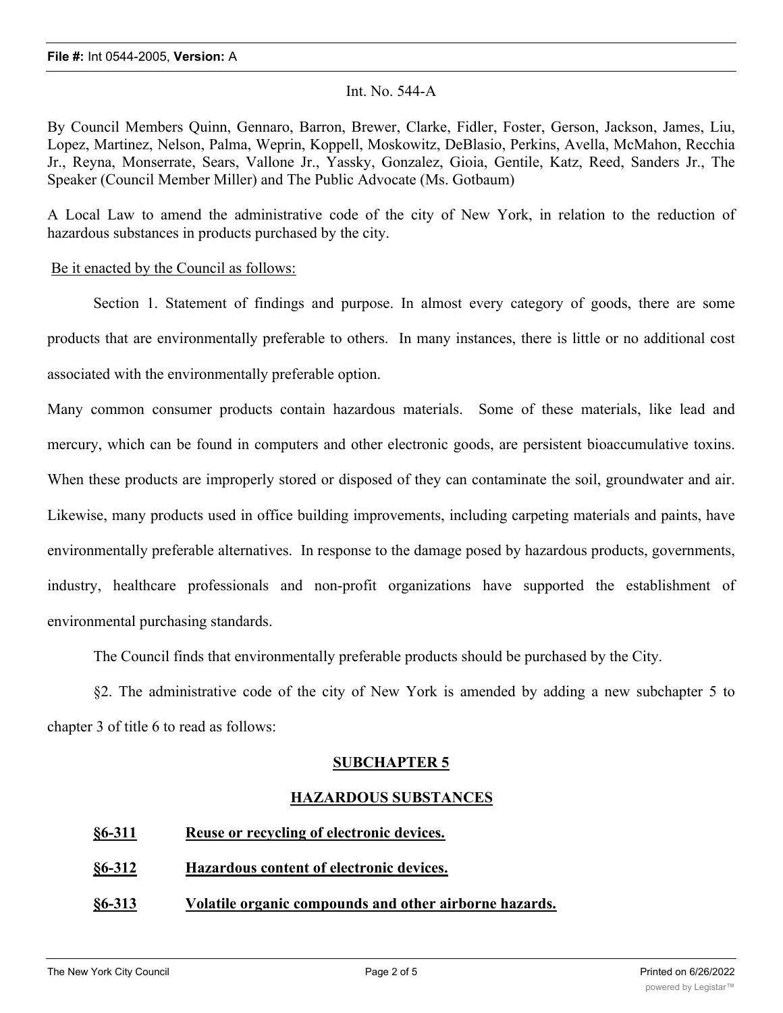### Int. No. 544-A

By Council Members Quinn, Gennaro, Barron, Brewer, Clarke, Fidler, Foster, Gerson, Jackson, James, Liu, Lopez, Martinez, Nelson, Palma, Weprin, Koppell, Moskowitz, DeBlasio, Perkins, Avella, McMahon, Recchia Jr., Reyna, Monserrate, Sears, Vallone Jr., Yassky, Gonzalez, Gioia, Gentile, Katz, Reed, Sanders Jr., The Speaker (Council Member Miller) and The Public Advocate (Ms. Gotbaum)

A Local Law to amend the administrative code of the city of New York, in relation to the reduction of hazardous substances in products purchased by the city.

#### Be it enacted by the Council as follows:

Section 1. Statement of findings and purpose. In almost every category of goods, there are some products that are environmentally preferable to others. In many instances, there is little or no additional cost associated with the environmentally preferable option.

Many common consumer products contain hazardous materials. Some of these materials, like lead and mercury, which can be found in computers and other electronic goods, are persistent bioaccumulative toxins. When these products are improperly stored or disposed of they can contaminate the soil, groundwater and air. Likewise, many products used in office building improvements, including carpeting materials and paints, have environmentally preferable alternatives. In response to the damage posed by hazardous products, governments, industry, healthcare professionals and non-profit organizations have supported the establishment of environmental purchasing standards.

The Council finds that environmentally preferable products should be purchased by the City.

§2. The administrative code of the city of New York is amended by adding a new subchapter 5 to chapter 3 of title 6 to read as follows:

# **SUBCHAPTER 5**

# **HAZARDOUS SUBSTANCES**

- **§6-311 Reuse or recycling of electronic devices.**
- **§6-312 Hazardous content of electronic devices.**
- **§6-313 Volatile organic compounds and other airborne hazards.**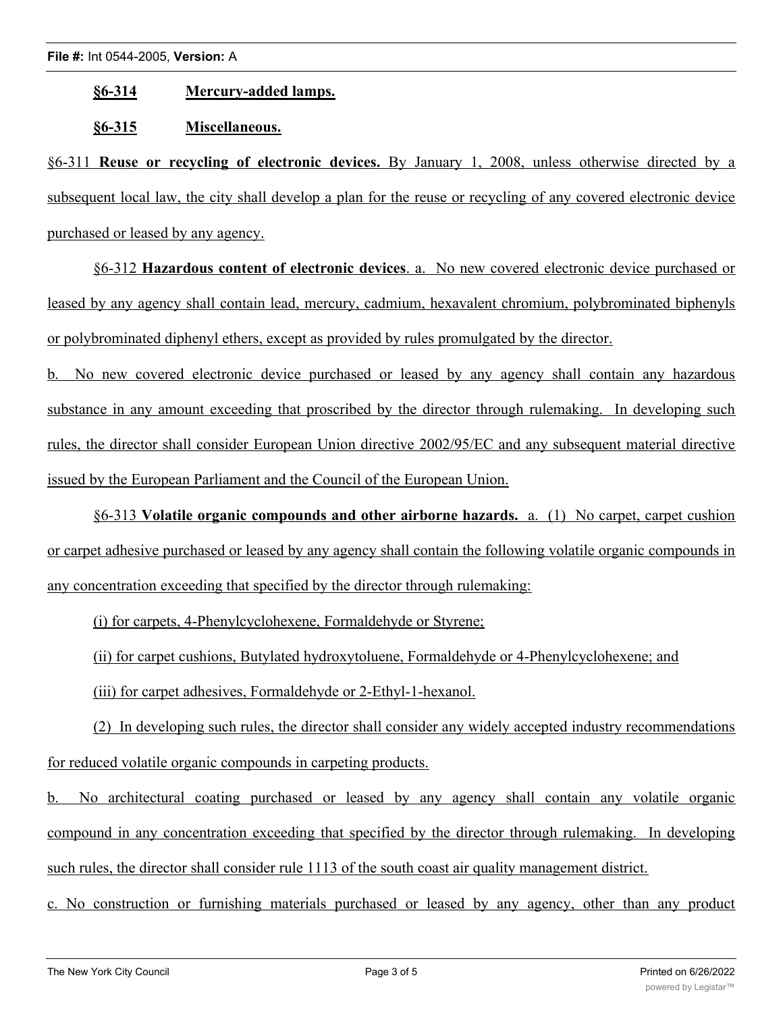#### **§6-314 Mercury-added lamps.**

### **§6-315 Miscellaneous.**

§6-311 **Reuse or recycling of electronic devices.** By January 1, 2008, unless otherwise directed by a subsequent local law, the city shall develop a plan for the reuse or recycling of any covered electronic device purchased or leased by any agency.

§6-312 **Hazardous content of electronic devices**. a. No new covered electronic device purchased or leased by any agency shall contain lead, mercury, cadmium, hexavalent chromium, polybrominated biphenyls or polybrominated diphenyl ethers, except as provided by rules promulgated by the director.

b. No new covered electronic device purchased or leased by any agency shall contain any hazardous substance in any amount exceeding that proscribed by the director through rulemaking. In developing such rules, the director shall consider European Union directive 2002/95/EC and any subsequent material directive issued by the European Parliament and the Council of the European Union.

§6-313 **Volatile organic compounds and other airborne hazards.** a. (1) No carpet, carpet cushion or carpet adhesive purchased or leased by any agency shall contain the following volatile organic compounds in any concentration exceeding that specified by the director through rulemaking:

(i) for carpets, 4-Phenylcyclohexene, Formaldehyde or Styrene;

(ii) for carpet cushions, Butylated hydroxytoluene, Formaldehyde or 4-Phenylcyclohexene; and

(iii) for carpet adhesives, Formaldehyde or 2-Ethyl-1-hexanol.

(2) In developing such rules, the director shall consider any widely accepted industry recommendations for reduced volatile organic compounds in carpeting products.

b. No architectural coating purchased or leased by any agency shall contain any volatile organic compound in any concentration exceeding that specified by the director through rulemaking. In developing such rules, the director shall consider rule 1113 of the south coast air quality management district.

c. No construction or furnishing materials purchased or leased by any agency, other than any product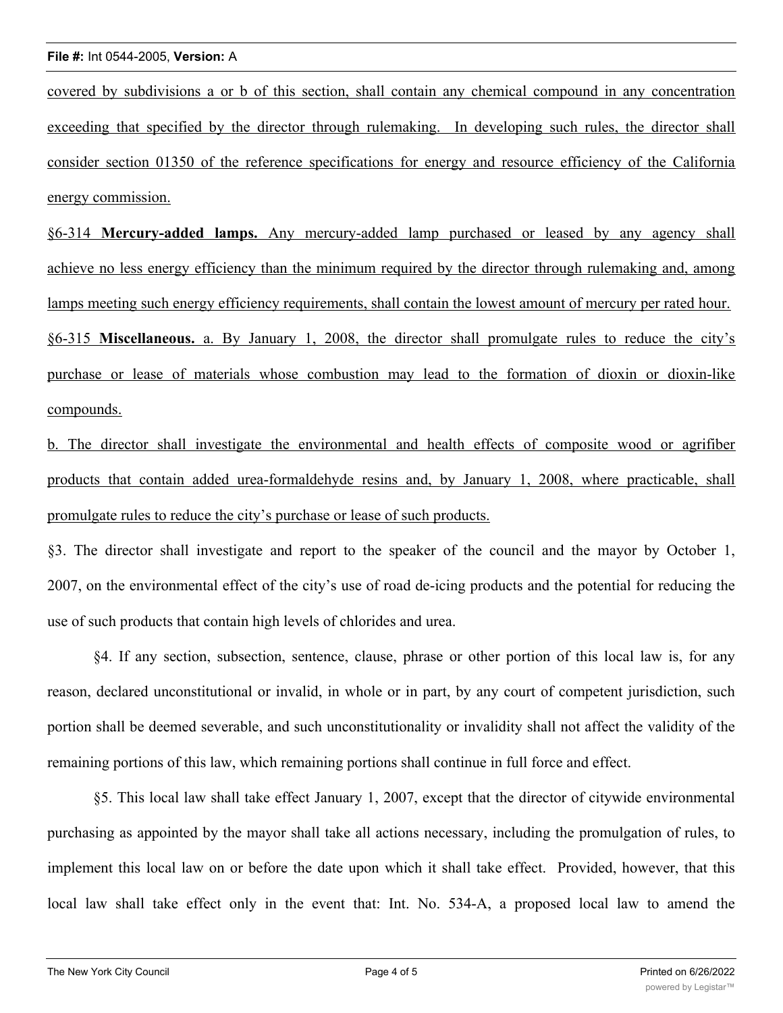#### **File #:** Int 0544-2005, **Version:** A

covered by subdivisions a or b of this section, shall contain any chemical compound in any concentration exceeding that specified by the director through rulemaking. In developing such rules, the director shall consider section 01350 of the reference specifications for energy and resource efficiency of the California energy commission.

§6-314 **Mercury-added lamps.** Any mercury-added lamp purchased or leased by any agency shall achieve no less energy efficiency than the minimum required by the director through rulemaking and, among lamps meeting such energy efficiency requirements, shall contain the lowest amount of mercury per rated hour. §6-315 **Miscellaneous.** a. By January 1, 2008, the director shall promulgate rules to reduce the city's purchase or lease of materials whose combustion may lead to the formation of dioxin or dioxin-like compounds.

b. The director shall investigate the environmental and health effects of composite wood or agrifiber products that contain added urea-formaldehyde resins and, by January 1, 2008, where practicable, shall promulgate rules to reduce the city's purchase or lease of such products.

§3. The director shall investigate and report to the speaker of the council and the mayor by October 1, 2007, on the environmental effect of the city's use of road de-icing products and the potential for reducing the use of such products that contain high levels of chlorides and urea.

§4. If any section, subsection, sentence, clause, phrase or other portion of this local law is, for any reason, declared unconstitutional or invalid, in whole or in part, by any court of competent jurisdiction, such portion shall be deemed severable, and such unconstitutionality or invalidity shall not affect the validity of the remaining portions of this law, which remaining portions shall continue in full force and effect.

§5. This local law shall take effect January 1, 2007, except that the director of citywide environmental purchasing as appointed by the mayor shall take all actions necessary, including the promulgation of rules, to implement this local law on or before the date upon which it shall take effect. Provided, however, that this local law shall take effect only in the event that: Int. No. 534-A, a proposed local law to amend the